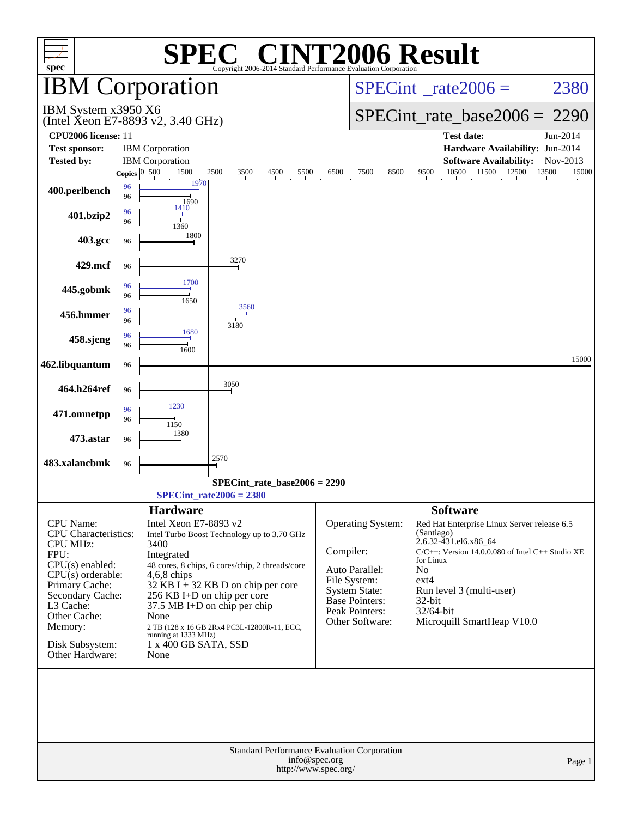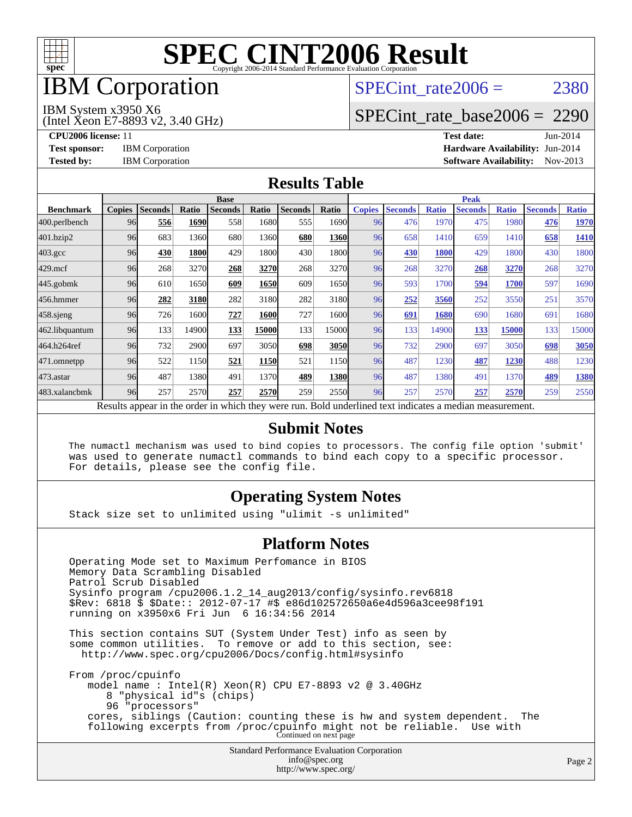

## IBM Corporation

## SPECint rate $2006 = 2380$

IBM System x3950 X6

(Intel Xeon E7-8893 v2, 3.40 GHz)

[SPECint\\_rate\\_base2006 =](http://www.spec.org/auto/cpu2006/Docs/result-fields.html#SPECintratebase2006) 2290

**[CPU2006 license:](http://www.spec.org/auto/cpu2006/Docs/result-fields.html#CPU2006license)** 11 **[Test date:](http://www.spec.org/auto/cpu2006/Docs/result-fields.html#Testdate)** Jun-2014 **[Test sponsor:](http://www.spec.org/auto/cpu2006/Docs/result-fields.html#Testsponsor)** IBM Corporation **[Hardware Availability:](http://www.spec.org/auto/cpu2006/Docs/result-fields.html#HardwareAvailability)** Jun-2014 **[Tested by:](http://www.spec.org/auto/cpu2006/Docs/result-fields.html#Testedby)** IBM Corporation **[Software Availability:](http://www.spec.org/auto/cpu2006/Docs/result-fields.html#SoftwareAvailability)** Nov-2013

#### **[Results Table](http://www.spec.org/auto/cpu2006/Docs/result-fields.html#ResultsTable)**

|                    | <b>Base</b>   |                |             |                                                                                                          |       |                |       | <b>Peak</b>   |                |              |                |              |                |              |
|--------------------|---------------|----------------|-------------|----------------------------------------------------------------------------------------------------------|-------|----------------|-------|---------------|----------------|--------------|----------------|--------------|----------------|--------------|
| <b>Benchmark</b>   | <b>Copies</b> | <b>Seconds</b> | Ratio       | <b>Seconds</b>                                                                                           | Ratio | <b>Seconds</b> | Ratio | <b>Copies</b> | <b>Seconds</b> | <b>Ratio</b> | <b>Seconds</b> | <b>Ratio</b> | <b>Seconds</b> | <b>Ratio</b> |
| 400.perlbench      | 96            | 556            | 1690        | 558                                                                                                      | 1680  | 555            | 1690l | 96            | 476            | 1970         | 475            | 1980         | 476            | 1970         |
| 401.bzip2          | 96            | 683            | 1360        | 680                                                                                                      | 1360  | 680            | 1360  | 96            | 658            | 1410         | 659            | 1410         | 658            | 1410         |
| $403.\mathrm{gcc}$ | 96            | 430            | <b>1800</b> | 429                                                                                                      | 1800  | 430            | 1800  | 96            | 430            | 1800         | 429            | 1800         | 430            | 1800         |
| $429$ .mcf         | 96            | 268            | 3270        | 268                                                                                                      | 3270  | 268            | 3270  | 96            | 268            | 3270         | 268            | 3270         | 268            | 3270         |
| $445$ .gobmk       | 96            | 610            | 1650        | 609                                                                                                      | 1650  | 609            | 1650  | 96            | 593            | 1700         | 594            | 1700         | 597            | 1690         |
| 456.hmmer          | 96            | 282            | 3180        | 282                                                                                                      | 3180  | 282            | 3180  | 96            | 252            | 3560         | 252            | 3550         | 251            | 3570         |
| $458$ .sjeng       | 96            | 726            | 1600        | 727                                                                                                      | 1600  | 727            | 16001 | 96            | 691            | 1680         | 690            | 1680         | 691            | 1680         |
| 462.libquantum     | 96            | 133            | 14900       | 133                                                                                                      | 15000 | 133            | 15000 | 96            | 133            | 14900        | 133            | 15000        | 133            | 15000        |
| 464.h264ref        | 96            | 732            | 2900        | 697                                                                                                      | 3050  | 698            | 3050  | 96            | 732            | 2900         | 697            | 3050         | 698            | 3050         |
| 471.omnetpp        | 96            | 522            | 1150        | 521                                                                                                      | 1150  | 521            | 1150  | 96            | 487            | 1230         | 487            | 1230         | 488            | 1230         |
| $473.$ astar       | 96            | 487            | 1380        | 491                                                                                                      | 1370  | 489            | 1380  | 96            | 487            | 1380         | 491            | 1370         | 489            | 1380         |
| 483.xalancbmk      | 96            | 257            | 2570        | 257                                                                                                      | 2570  | 259            | 2550  | 96            | 257            | 2570         | 257            | 2570         | 259            | 2550         |
|                    |               |                |             | Results appear in the order in which they were run. Bold underlined text indicates a median measurement. |       |                |       |               |                |              |                |              |                |              |

#### **[Submit Notes](http://www.spec.org/auto/cpu2006/Docs/result-fields.html#SubmitNotes)**

 The numactl mechanism was used to bind copies to processors. The config file option 'submit' was used to generate numactl commands to bind each copy to a specific processor. For details, please see the config file.

### **[Operating System Notes](http://www.spec.org/auto/cpu2006/Docs/result-fields.html#OperatingSystemNotes)**

Stack size set to unlimited using "ulimit -s unlimited"

#### **[Platform Notes](http://www.spec.org/auto/cpu2006/Docs/result-fields.html#PlatformNotes)**

Standard Performance Evaluation Corporation [info@spec.org](mailto:info@spec.org) Operating Mode set to Maximum Perfomance in BIOS Memory Data Scrambling Disabled Patrol Scrub Disabled Sysinfo program /cpu2006.1.2\_14\_aug2013/config/sysinfo.rev6818 \$Rev: 6818 \$ \$Date:: 2012-07-17 #\$ e86d102572650a6e4d596a3cee98f191 running on x3950x6 Fri Jun 6 16:34:56 2014 This section contains SUT (System Under Test) info as seen by some common utilities. To remove or add to this section, see: <http://www.spec.org/cpu2006/Docs/config.html#sysinfo> From /proc/cpuinfo model name : Intel(R) Xeon(R) CPU E7-8893 v2 @ 3.40GHz 8 "physical id"s (chips) 96 "processors" cores, siblings (Caution: counting these is hw and system dependent. The following excerpts from /proc/cpuinfo might not be reliable. Use with Continued on next page

<http://www.spec.org/>

Page 2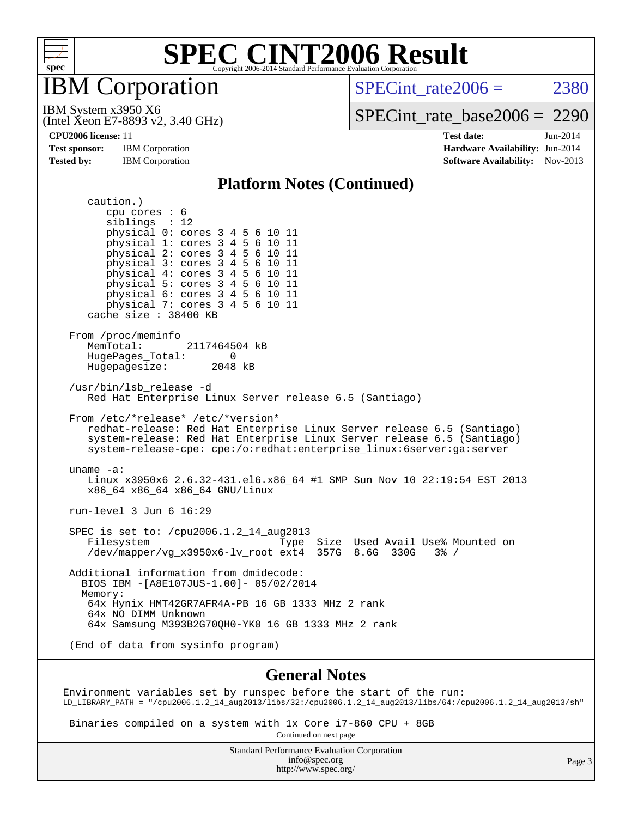

IBM Corporation

SPECint rate $2006 = 2380$ 

(Intel Xeon E7-8893 v2, 3.40 GHz) IBM System x3950 X6

[SPECint\\_rate\\_base2006 =](http://www.spec.org/auto/cpu2006/Docs/result-fields.html#SPECintratebase2006) 2290

**[CPU2006 license:](http://www.spec.org/auto/cpu2006/Docs/result-fields.html#CPU2006license)** 11 **[Test date:](http://www.spec.org/auto/cpu2006/Docs/result-fields.html#Testdate)** Jun-2014 **[Test sponsor:](http://www.spec.org/auto/cpu2006/Docs/result-fields.html#Testsponsor)** IBM Corporation **[Hardware Availability:](http://www.spec.org/auto/cpu2006/Docs/result-fields.html#HardwareAvailability)** Jun-2014 **[Tested by:](http://www.spec.org/auto/cpu2006/Docs/result-fields.html#Testedby)** IBM Corporation **IBM** Corporation **[Software Availability:](http://www.spec.org/auto/cpu2006/Docs/result-fields.html#SoftwareAvailability)** Nov-2013

#### **[Platform Notes \(Continued\)](http://www.spec.org/auto/cpu2006/Docs/result-fields.html#PlatformNotes)**

 caution.) cpu cores : 6 siblings : 12 physical 0: cores 3 4 5 6 10 11 physical 1: cores 3 4 5 6 10 11 physical 2: cores 3 4 5 6 10 11 physical 3: cores 3 4 5 6 10 11 physical 4: cores 3 4 5 6 10 11 physical 5: cores 3 4 5 6 10 11 physical 6: cores 3 4 5 6 10 11 physical 7: cores 3 4 5 6 10 11 cache size : 38400 KB From /proc/meminfo<br>MemTotal: 2117464504 kB HugePages\_Total: 0<br>Hugepagesize: 2048 kB Hugepagesize: /usr/bin/lsb\_release -d Red Hat Enterprise Linux Server release 6.5 (Santiago) From /etc/\*release\* /etc/\*version\* redhat-release: Red Hat Enterprise Linux Server release 6.5 (Santiago) system-release: Red Hat Enterprise Linux Server release 6.5 (Santiago) system-release-cpe: cpe:/o:redhat:enterprise\_linux:6server:ga:server uname -a: Linux x3950x6 2.6.32-431.el6.x86\_64 #1 SMP Sun Nov 10 22:19:54 EST 2013 x86\_64 x86\_64 x86\_64 GNU/Linux run-level 3 Jun 6 16:29 SPEC is set to: /cpu2006.1.2\_14\_aug2013 Filesystem Type Size Used Avail Use% Mounted on /dev/mapper/vg\_x3950x6-lv\_root ext4 357G 8.6G 330G 3% / Additional information from dmidecode: BIOS IBM -[A8E107JUS-1.00]- 05/02/2014 Memory: 64x Hynix HMT42GR7AFR4A-PB 16 GB 1333 MHz 2 rank 64x NO DIMM Unknown 64x Samsung M393B2G70QH0-YK0 16 GB 1333 MHz 2 rank (End of data from sysinfo program)

#### **[General Notes](http://www.spec.org/auto/cpu2006/Docs/result-fields.html#GeneralNotes)**

Environment variables set by runspec before the start of the run: LD\_LIBRARY\_PATH = "/cpu2006.1.2\_14\_aug2013/libs/32:/cpu2006.1.2\_14\_aug2013/libs/64:/cpu2006.1.2\_14\_aug2013/sh"

 Binaries compiled on a system with 1x Core i7-860 CPU + 8GB Continued on next page

> Standard Performance Evaluation Corporation [info@spec.org](mailto:info@spec.org) <http://www.spec.org/>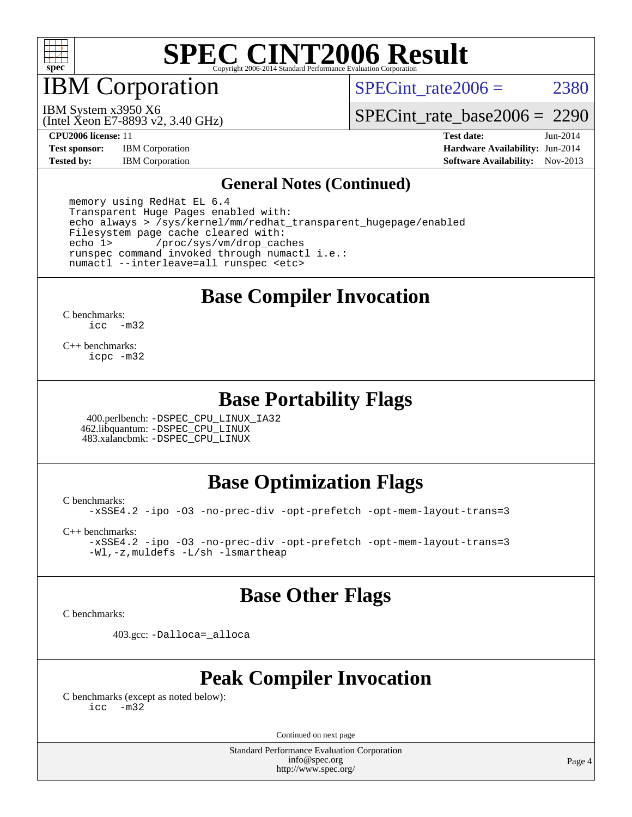

IBM Corporation

SPECint rate $2006 = 2380$ 

(Intel Xeon E7-8893 v2, 3.40 GHz) IBM System x3950 X6

[SPECint\\_rate\\_base2006 =](http://www.spec.org/auto/cpu2006/Docs/result-fields.html#SPECintratebase2006) 2290

**[Test sponsor:](http://www.spec.org/auto/cpu2006/Docs/result-fields.html#Testsponsor)** IBM Corporation **[Hardware Availability:](http://www.spec.org/auto/cpu2006/Docs/result-fields.html#HardwareAvailability)** Jun-2014

**[CPU2006 license:](http://www.spec.org/auto/cpu2006/Docs/result-fields.html#CPU2006license)** 11 **[Test date:](http://www.spec.org/auto/cpu2006/Docs/result-fields.html#Testdate)** Jun-2014 **[Tested by:](http://www.spec.org/auto/cpu2006/Docs/result-fields.html#Testedby)** IBM Corporation **[Software Availability:](http://www.spec.org/auto/cpu2006/Docs/result-fields.html#SoftwareAvailability)** Nov-2013

#### **[General Notes \(Continued\)](http://www.spec.org/auto/cpu2006/Docs/result-fields.html#GeneralNotes)**

 memory using RedHat EL 6.4 Transparent Huge Pages enabled with: echo always > /sys/kernel/mm/redhat\_transparent\_hugepage/enabled Filesystem page cache cleared with:<br>echo 1> /proc/sys/ym/drop.cac /proc/sys/vm/drop\_caches runspec command invoked through numactl i.e.: numactl --interleave=all runspec <etc>

## **[Base Compiler Invocation](http://www.spec.org/auto/cpu2006/Docs/result-fields.html#BaseCompilerInvocation)**

[C benchmarks](http://www.spec.org/auto/cpu2006/Docs/result-fields.html#Cbenchmarks): [icc -m32](http://www.spec.org/cpu2006/results/res2014q3/cpu2006-20140714-30409.flags.html#user_CCbase_intel_icc_5ff4a39e364c98233615fdd38438c6f2)

[C++ benchmarks:](http://www.spec.org/auto/cpu2006/Docs/result-fields.html#CXXbenchmarks) [icpc -m32](http://www.spec.org/cpu2006/results/res2014q3/cpu2006-20140714-30409.flags.html#user_CXXbase_intel_icpc_4e5a5ef1a53fd332b3c49e69c3330699)

### **[Base Portability Flags](http://www.spec.org/auto/cpu2006/Docs/result-fields.html#BasePortabilityFlags)**

 400.perlbench: [-DSPEC\\_CPU\\_LINUX\\_IA32](http://www.spec.org/cpu2006/results/res2014q3/cpu2006-20140714-30409.flags.html#b400.perlbench_baseCPORTABILITY_DSPEC_CPU_LINUX_IA32) 462.libquantum: [-DSPEC\\_CPU\\_LINUX](http://www.spec.org/cpu2006/results/res2014q3/cpu2006-20140714-30409.flags.html#b462.libquantum_baseCPORTABILITY_DSPEC_CPU_LINUX) 483.xalancbmk: [-DSPEC\\_CPU\\_LINUX](http://www.spec.org/cpu2006/results/res2014q3/cpu2006-20140714-30409.flags.html#b483.xalancbmk_baseCXXPORTABILITY_DSPEC_CPU_LINUX)

### **[Base Optimization Flags](http://www.spec.org/auto/cpu2006/Docs/result-fields.html#BaseOptimizationFlags)**

[C benchmarks](http://www.spec.org/auto/cpu2006/Docs/result-fields.html#Cbenchmarks):

[-xSSE4.2](http://www.spec.org/cpu2006/results/res2014q3/cpu2006-20140714-30409.flags.html#user_CCbase_f-xSSE42_f91528193cf0b216347adb8b939d4107) [-ipo](http://www.spec.org/cpu2006/results/res2014q3/cpu2006-20140714-30409.flags.html#user_CCbase_f-ipo) [-O3](http://www.spec.org/cpu2006/results/res2014q3/cpu2006-20140714-30409.flags.html#user_CCbase_f-O3) [-no-prec-div](http://www.spec.org/cpu2006/results/res2014q3/cpu2006-20140714-30409.flags.html#user_CCbase_f-no-prec-div) [-opt-prefetch](http://www.spec.org/cpu2006/results/res2014q3/cpu2006-20140714-30409.flags.html#user_CCbase_f-opt-prefetch) [-opt-mem-layout-trans=3](http://www.spec.org/cpu2006/results/res2014q3/cpu2006-20140714-30409.flags.html#user_CCbase_f-opt-mem-layout-trans_a7b82ad4bd7abf52556d4961a2ae94d5)

[C++ benchmarks:](http://www.spec.org/auto/cpu2006/Docs/result-fields.html#CXXbenchmarks)

[-xSSE4.2](http://www.spec.org/cpu2006/results/res2014q3/cpu2006-20140714-30409.flags.html#user_CXXbase_f-xSSE42_f91528193cf0b216347adb8b939d4107) [-ipo](http://www.spec.org/cpu2006/results/res2014q3/cpu2006-20140714-30409.flags.html#user_CXXbase_f-ipo) [-O3](http://www.spec.org/cpu2006/results/res2014q3/cpu2006-20140714-30409.flags.html#user_CXXbase_f-O3) [-no-prec-div](http://www.spec.org/cpu2006/results/res2014q3/cpu2006-20140714-30409.flags.html#user_CXXbase_f-no-prec-div) [-opt-prefetch](http://www.spec.org/cpu2006/results/res2014q3/cpu2006-20140714-30409.flags.html#user_CXXbase_f-opt-prefetch) [-opt-mem-layout-trans=3](http://www.spec.org/cpu2006/results/res2014q3/cpu2006-20140714-30409.flags.html#user_CXXbase_f-opt-mem-layout-trans_a7b82ad4bd7abf52556d4961a2ae94d5) [-Wl,-z,muldefs](http://www.spec.org/cpu2006/results/res2014q3/cpu2006-20140714-30409.flags.html#user_CXXbase_link_force_multiple1_74079c344b956b9658436fd1b6dd3a8a) [-L/sh -lsmartheap](http://www.spec.org/cpu2006/results/res2014q3/cpu2006-20140714-30409.flags.html#user_CXXbase_SmartHeap_32f6c82aa1ed9c52345d30cf6e4a0499)

### **[Base Other Flags](http://www.spec.org/auto/cpu2006/Docs/result-fields.html#BaseOtherFlags)**

[C benchmarks](http://www.spec.org/auto/cpu2006/Docs/result-fields.html#Cbenchmarks):

403.gcc: [-Dalloca=\\_alloca](http://www.spec.org/cpu2006/results/res2014q3/cpu2006-20140714-30409.flags.html#b403.gcc_baseEXTRA_CFLAGS_Dalloca_be3056838c12de2578596ca5467af7f3)

## **[Peak Compiler Invocation](http://www.spec.org/auto/cpu2006/Docs/result-fields.html#PeakCompilerInvocation)**

[C benchmarks \(except as noted below\)](http://www.spec.org/auto/cpu2006/Docs/result-fields.html#Cbenchmarksexceptasnotedbelow): [icc -m32](http://www.spec.org/cpu2006/results/res2014q3/cpu2006-20140714-30409.flags.html#user_CCpeak_intel_icc_5ff4a39e364c98233615fdd38438c6f2)

Continued on next page

Standard Performance Evaluation Corporation [info@spec.org](mailto:info@spec.org) <http://www.spec.org/>

Page 4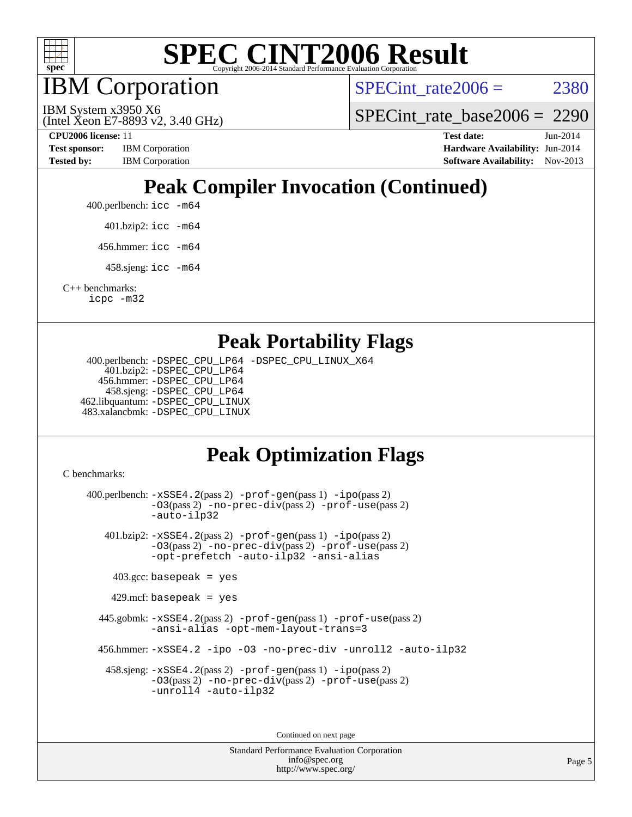

IBM Corporation

SPECint rate $2006 = 2380$ 

(Intel Xeon E7-8893 v2, 3.40 GHz) IBM System x3950 X6

[SPECint\\_rate\\_base2006 =](http://www.spec.org/auto/cpu2006/Docs/result-fields.html#SPECintratebase2006) 2290

**[Test sponsor:](http://www.spec.org/auto/cpu2006/Docs/result-fields.html#Testsponsor)** IBM Corporation **[Hardware Availability:](http://www.spec.org/auto/cpu2006/Docs/result-fields.html#HardwareAvailability)** Jun-2014 **[Tested by:](http://www.spec.org/auto/cpu2006/Docs/result-fields.html#Testedby)** IBM Corporation **IBM** Corporation **[Software Availability:](http://www.spec.org/auto/cpu2006/Docs/result-fields.html#SoftwareAvailability)** Nov-2013

**[CPU2006 license:](http://www.spec.org/auto/cpu2006/Docs/result-fields.html#CPU2006license)** 11 **[Test date:](http://www.spec.org/auto/cpu2006/Docs/result-fields.html#Testdate)** Jun-2014

# **[Peak Compiler Invocation \(Continued\)](http://www.spec.org/auto/cpu2006/Docs/result-fields.html#PeakCompilerInvocation)**

400.perlbench: [icc -m64](http://www.spec.org/cpu2006/results/res2014q3/cpu2006-20140714-30409.flags.html#user_peakCCLD400_perlbench_intel_icc_64bit_bda6cc9af1fdbb0edc3795bac97ada53)

401.bzip2: [icc -m64](http://www.spec.org/cpu2006/results/res2014q3/cpu2006-20140714-30409.flags.html#user_peakCCLD401_bzip2_intel_icc_64bit_bda6cc9af1fdbb0edc3795bac97ada53)

456.hmmer: [icc -m64](http://www.spec.org/cpu2006/results/res2014q3/cpu2006-20140714-30409.flags.html#user_peakCCLD456_hmmer_intel_icc_64bit_bda6cc9af1fdbb0edc3795bac97ada53)

458.sjeng: [icc -m64](http://www.spec.org/cpu2006/results/res2014q3/cpu2006-20140714-30409.flags.html#user_peakCCLD458_sjeng_intel_icc_64bit_bda6cc9af1fdbb0edc3795bac97ada53)

[C++ benchmarks:](http://www.spec.org/auto/cpu2006/Docs/result-fields.html#CXXbenchmarks) [icpc -m32](http://www.spec.org/cpu2006/results/res2014q3/cpu2006-20140714-30409.flags.html#user_CXXpeak_intel_icpc_4e5a5ef1a53fd332b3c49e69c3330699)

### **[Peak Portability Flags](http://www.spec.org/auto/cpu2006/Docs/result-fields.html#PeakPortabilityFlags)**

 400.perlbench: [-DSPEC\\_CPU\\_LP64](http://www.spec.org/cpu2006/results/res2014q3/cpu2006-20140714-30409.flags.html#b400.perlbench_peakCPORTABILITY_DSPEC_CPU_LP64) [-DSPEC\\_CPU\\_LINUX\\_X64](http://www.spec.org/cpu2006/results/res2014q3/cpu2006-20140714-30409.flags.html#b400.perlbench_peakCPORTABILITY_DSPEC_CPU_LINUX_X64) 401.bzip2: [-DSPEC\\_CPU\\_LP64](http://www.spec.org/cpu2006/results/res2014q3/cpu2006-20140714-30409.flags.html#suite_peakCPORTABILITY401_bzip2_DSPEC_CPU_LP64) 456.hmmer: [-DSPEC\\_CPU\\_LP64](http://www.spec.org/cpu2006/results/res2014q3/cpu2006-20140714-30409.flags.html#suite_peakCPORTABILITY456_hmmer_DSPEC_CPU_LP64) 458.sjeng: [-DSPEC\\_CPU\\_LP64](http://www.spec.org/cpu2006/results/res2014q3/cpu2006-20140714-30409.flags.html#suite_peakCPORTABILITY458_sjeng_DSPEC_CPU_LP64) 462.libquantum: [-DSPEC\\_CPU\\_LINUX](http://www.spec.org/cpu2006/results/res2014q3/cpu2006-20140714-30409.flags.html#b462.libquantum_peakCPORTABILITY_DSPEC_CPU_LINUX) 483.xalancbmk: [-DSPEC\\_CPU\\_LINUX](http://www.spec.org/cpu2006/results/res2014q3/cpu2006-20140714-30409.flags.html#b483.xalancbmk_peakCXXPORTABILITY_DSPEC_CPU_LINUX)

## **[Peak Optimization Flags](http://www.spec.org/auto/cpu2006/Docs/result-fields.html#PeakOptimizationFlags)**

[C benchmarks](http://www.spec.org/auto/cpu2006/Docs/result-fields.html#Cbenchmarks):

 400.perlbench: [-xSSE4.2](http://www.spec.org/cpu2006/results/res2014q3/cpu2006-20140714-30409.flags.html#user_peakPASS2_CFLAGSPASS2_LDCFLAGS400_perlbench_f-xSSE42_f91528193cf0b216347adb8b939d4107)(pass 2) [-prof-gen](http://www.spec.org/cpu2006/results/res2014q3/cpu2006-20140714-30409.flags.html#user_peakPASS1_CFLAGSPASS1_LDCFLAGS400_perlbench_prof_gen_e43856698f6ca7b7e442dfd80e94a8fc)(pass 1) [-ipo](http://www.spec.org/cpu2006/results/res2014q3/cpu2006-20140714-30409.flags.html#user_peakPASS2_CFLAGSPASS2_LDCFLAGS400_perlbench_f-ipo)(pass 2) [-O3](http://www.spec.org/cpu2006/results/res2014q3/cpu2006-20140714-30409.flags.html#user_peakPASS2_CFLAGSPASS2_LDCFLAGS400_perlbench_f-O3)(pass 2) [-no-prec-div](http://www.spec.org/cpu2006/results/res2014q3/cpu2006-20140714-30409.flags.html#user_peakPASS2_CFLAGSPASS2_LDCFLAGS400_perlbench_f-no-prec-div)(pass 2) [-prof-use](http://www.spec.org/cpu2006/results/res2014q3/cpu2006-20140714-30409.flags.html#user_peakPASS2_CFLAGSPASS2_LDCFLAGS400_perlbench_prof_use_bccf7792157ff70d64e32fe3e1250b55)(pass 2) [-auto-ilp32](http://www.spec.org/cpu2006/results/res2014q3/cpu2006-20140714-30409.flags.html#user_peakCOPTIMIZE400_perlbench_f-auto-ilp32) 401.bzip2: [-xSSE4.2](http://www.spec.org/cpu2006/results/res2014q3/cpu2006-20140714-30409.flags.html#user_peakPASS2_CFLAGSPASS2_LDCFLAGS401_bzip2_f-xSSE42_f91528193cf0b216347adb8b939d4107)(pass 2) [-prof-gen](http://www.spec.org/cpu2006/results/res2014q3/cpu2006-20140714-30409.flags.html#user_peakPASS1_CFLAGSPASS1_LDCFLAGS401_bzip2_prof_gen_e43856698f6ca7b7e442dfd80e94a8fc)(pass 1) [-ipo](http://www.spec.org/cpu2006/results/res2014q3/cpu2006-20140714-30409.flags.html#user_peakPASS2_CFLAGSPASS2_LDCFLAGS401_bzip2_f-ipo)(pass 2) [-O3](http://www.spec.org/cpu2006/results/res2014q3/cpu2006-20140714-30409.flags.html#user_peakPASS2_CFLAGSPASS2_LDCFLAGS401_bzip2_f-O3)(pass 2) [-no-prec-div](http://www.spec.org/cpu2006/results/res2014q3/cpu2006-20140714-30409.flags.html#user_peakPASS2_CFLAGSPASS2_LDCFLAGS401_bzip2_f-no-prec-div)(pass 2) [-prof-use](http://www.spec.org/cpu2006/results/res2014q3/cpu2006-20140714-30409.flags.html#user_peakPASS2_CFLAGSPASS2_LDCFLAGS401_bzip2_prof_use_bccf7792157ff70d64e32fe3e1250b55)(pass 2) [-opt-prefetch](http://www.spec.org/cpu2006/results/res2014q3/cpu2006-20140714-30409.flags.html#user_peakCOPTIMIZE401_bzip2_f-opt-prefetch) [-auto-ilp32](http://www.spec.org/cpu2006/results/res2014q3/cpu2006-20140714-30409.flags.html#user_peakCOPTIMIZE401_bzip2_f-auto-ilp32) [-ansi-alias](http://www.spec.org/cpu2006/results/res2014q3/cpu2006-20140714-30409.flags.html#user_peakCOPTIMIZE401_bzip2_f-ansi-alias)  $403.\text{gcc: basepeak}$  = yes  $429$ .mcf: basepeak = yes 445.gobmk: [-xSSE4.2](http://www.spec.org/cpu2006/results/res2014q3/cpu2006-20140714-30409.flags.html#user_peakPASS2_CFLAGSPASS2_LDCFLAGS445_gobmk_f-xSSE42_f91528193cf0b216347adb8b939d4107)(pass 2) [-prof-gen](http://www.spec.org/cpu2006/results/res2014q3/cpu2006-20140714-30409.flags.html#user_peakPASS1_CFLAGSPASS1_LDCFLAGS445_gobmk_prof_gen_e43856698f6ca7b7e442dfd80e94a8fc)(pass 1) [-prof-use](http://www.spec.org/cpu2006/results/res2014q3/cpu2006-20140714-30409.flags.html#user_peakPASS2_CFLAGSPASS2_LDCFLAGS445_gobmk_prof_use_bccf7792157ff70d64e32fe3e1250b55)(pass 2) [-ansi-alias](http://www.spec.org/cpu2006/results/res2014q3/cpu2006-20140714-30409.flags.html#user_peakCOPTIMIZE445_gobmk_f-ansi-alias) [-opt-mem-layout-trans=3](http://www.spec.org/cpu2006/results/res2014q3/cpu2006-20140714-30409.flags.html#user_peakCOPTIMIZE445_gobmk_f-opt-mem-layout-trans_a7b82ad4bd7abf52556d4961a2ae94d5) 456.hmmer: [-xSSE4.2](http://www.spec.org/cpu2006/results/res2014q3/cpu2006-20140714-30409.flags.html#user_peakCOPTIMIZE456_hmmer_f-xSSE42_f91528193cf0b216347adb8b939d4107) [-ipo](http://www.spec.org/cpu2006/results/res2014q3/cpu2006-20140714-30409.flags.html#user_peakCOPTIMIZE456_hmmer_f-ipo) [-O3](http://www.spec.org/cpu2006/results/res2014q3/cpu2006-20140714-30409.flags.html#user_peakCOPTIMIZE456_hmmer_f-O3) [-no-prec-div](http://www.spec.org/cpu2006/results/res2014q3/cpu2006-20140714-30409.flags.html#user_peakCOPTIMIZE456_hmmer_f-no-prec-div) [-unroll2](http://www.spec.org/cpu2006/results/res2014q3/cpu2006-20140714-30409.flags.html#user_peakCOPTIMIZE456_hmmer_f-unroll_784dae83bebfb236979b41d2422d7ec2) [-auto-ilp32](http://www.spec.org/cpu2006/results/res2014q3/cpu2006-20140714-30409.flags.html#user_peakCOPTIMIZE456_hmmer_f-auto-ilp32) 458.sjeng: [-xSSE4.2](http://www.spec.org/cpu2006/results/res2014q3/cpu2006-20140714-30409.flags.html#user_peakPASS2_CFLAGSPASS2_LDCFLAGS458_sjeng_f-xSSE42_f91528193cf0b216347adb8b939d4107)(pass 2) [-prof-gen](http://www.spec.org/cpu2006/results/res2014q3/cpu2006-20140714-30409.flags.html#user_peakPASS1_CFLAGSPASS1_LDCFLAGS458_sjeng_prof_gen_e43856698f6ca7b7e442dfd80e94a8fc)(pass 1) [-ipo](http://www.spec.org/cpu2006/results/res2014q3/cpu2006-20140714-30409.flags.html#user_peakPASS2_CFLAGSPASS2_LDCFLAGS458_sjeng_f-ipo)(pass 2) [-O3](http://www.spec.org/cpu2006/results/res2014q3/cpu2006-20140714-30409.flags.html#user_peakPASS2_CFLAGSPASS2_LDCFLAGS458_sjeng_f-O3)(pass 2) [-no-prec-div](http://www.spec.org/cpu2006/results/res2014q3/cpu2006-20140714-30409.flags.html#user_peakPASS2_CFLAGSPASS2_LDCFLAGS458_sjeng_f-no-prec-div)(pass 2) [-prof-use](http://www.spec.org/cpu2006/results/res2014q3/cpu2006-20140714-30409.flags.html#user_peakPASS2_CFLAGSPASS2_LDCFLAGS458_sjeng_prof_use_bccf7792157ff70d64e32fe3e1250b55)(pass 2) [-unroll4](http://www.spec.org/cpu2006/results/res2014q3/cpu2006-20140714-30409.flags.html#user_peakCOPTIMIZE458_sjeng_f-unroll_4e5e4ed65b7fd20bdcd365bec371b81f) [-auto-ilp32](http://www.spec.org/cpu2006/results/res2014q3/cpu2006-20140714-30409.flags.html#user_peakCOPTIMIZE458_sjeng_f-auto-ilp32) Continued on next page

> Standard Performance Evaluation Corporation [info@spec.org](mailto:info@spec.org) <http://www.spec.org/>